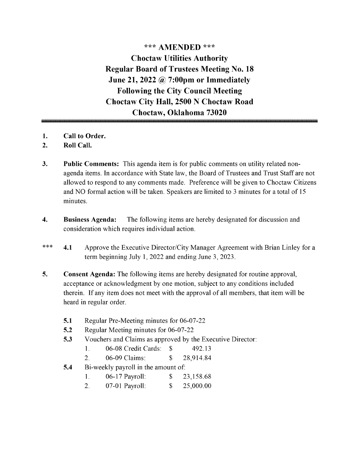\*\*\* AMENDED \*\*\* Choctaw Utilities Authority Regular Board of Trustees Meeting No. 18 June 21, 2022  $\omega$  7:00pm or Immediately Following the City Council Meeting Choctaw City Hall, 2500 N Choctaw Road Choctaw, Oklahoma 73020

- 1. Call to Order.
- 2. Roll Call.
- 3. Public Comments: This agenda item is for public comments on utility related nonagenda items. In accordance with State law, the Board of Trustees and Trust Staff are not allowed to respond to any comments made. Preference will be given to Choctaw Citizens and NO formal action will be taken. Speakers are limited to <sup>3</sup> minutes for <sup>a</sup> total of <sup>15</sup> minutes.
- 4. Business Agenda: The following items are hereby designated for discussion and consideration which requires individual action.
- $\ast \ast \ast$ 4.1 Approve the Executive Director/City Manager Agreement with Brian Linley for a term beginning July 1, 2022 and ending June 3, 2023.
- 5. Consent Agenda: The following items are hereby designated for routine approval, acceptance or acknowledgment by one motion, subject to any conditions included therein. If any item does not meet with the approval of all members, that item will be heard in regular order.
	- 5.1 Regular Pre-Meeting minutes for 06-07-22
	- 5.2 Regular Meeting minutes for 06-07-22
	- 5.3 Vouchers and Claims as approved by the Executive Director:
		- 1. 06-08 Credit Cards: \$ 492.13
		- 2. 06-09 Claims: \$ 28,914.84
	- 5.4 Bi-weekly payroll in the amount of:
		- 1. 06-17 Payroll: \$ 23,158.68
		- 2. 07-01 Payroll: \$ 25,000.00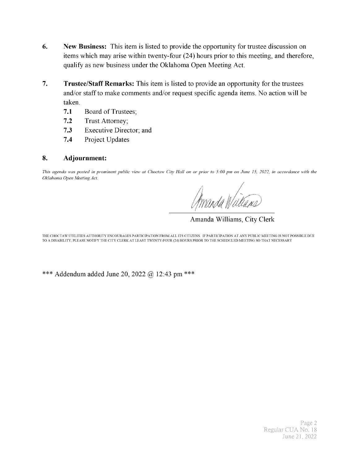- 6. New Business: This item is listed to provide the opportunity for trustee discussion on items which may arise within twenty-four (24) hours prior to this meeting, and therefore, qualify as new business under the Oklahoma Open Meeting Act.
- 7. Trustee/Staff Remarks: This item is listed to provide an opportunity for the trustees and/or staff to make comments and/or request specific agenda items. No action will be taken.
	- 7.1 Board of Trustees;
	- 7.2 Trust Attorney;
	- 7.3 Executive Director; and
	- 7.4 Project Updates

#### 8. Adjournment:

This agenda was posted in prominent public view at Choctaw City Hall on or prior to 5: 00 pm on June 15, 2022, in accordance with the Oklahoma Open Meeting Act.

f A

Amanda Williams, City Clerk

THE CHOCTAW UTILITIES AUTHORITY ENCOURAGES PARTICIPATION FROM ALL ITS CITIZENS. IF PARTICIPATION AT ANY PUBLIC MEETING IS NOT POSSIBLE DUE TO A DISABILITY, PLEASE NOTIFY THE CITY CLERK AT LEAST TWENTY-FOUR( 24) HOURS PRIOR TO THE SCHEDULED MEETING SO THAT NECESSARY

\*\*\* Addendum added June 20, 2022 @ 12:43 pm \*\*\*

Page 2 Regular CUA No. 18 June 21, 2022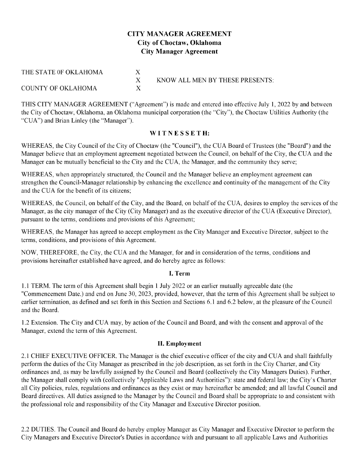#### CITY MANAGER AGREEMENT City of Choctaw, Oklahoma City Manager Agreement

| THE STATE OF OKLAHOMA     |                                 |
|---------------------------|---------------------------------|
|                           | KNOW ALL MEN BY THESE PRESENTS: |
| <b>COUNTY OF OKLAHOMA</b> |                                 |

THIS CITY MANAGER AGREEMENT ("Agreement") is made and entered into effective July 1, 2022 by and between the City of Choctaw, Oklahoma, an Oklahoma municipal corporation (the "City"), the Choctaw Utilities Authority (the "CUA") and Brian Linley (the "Manager").

#### WITNESSETH:

WHEREAS, the City Council of the City of Choctaw (the "Council"), the CUA Board of Trustees (the "Board") and the Manager believe that an employment agreement negotiated between the Council, on behalf of the City, the CUA and the Manager can be mutually beneficial to the City and the CUA, the Manager, and the community they serve;

WHEREAS, when appropriately structured, the Council and the Manager believe an employment agreement can strengthen the Council-Manager relationship by enhancing the excellence and continuity of the management of the City and the CUA for the benefit of its citizens;

WHEREAS, the Council, on behalf of the City, and the Board, on behalf of the CUA, desires to employ the services of the Manager, as the city manager of the City (City Manager) and as the executive director of the CUA (Executive Director), pursuant to the terms, conditions and provisions of this Agreement;

WHEREAS, the Manager has agreed to accept employment as the City Manager and Executive Director, subject to the terms, conditions, and provisions of this Agreement.

NOW, THEREFORE, the City, the CUA and the Manager, for and in consideration of the terms, conditions and provisions hereinafter established have agreed, and do hereby agree as follows:

#### I. Term

1. <sup>1</sup> TERM. The term ofthis Agreement shall begin I July 2022 or an earlier mutually agreeable date ( the "Commencement Date.) and end on June 30, 2023, provided, however, that the term of this Agreement shall be subject to earlier termination, as defined and set forth in this Section and Sections 6.1 and 6.2 below, at the pleasure of the Council and the Board.

1. 2 Extension. The City and CUA may, by action of the Council and Board, and with the consent and approval of the Manager, extend the term of this Agreement.

#### II. Employment

2. <sup>1</sup> CHIEF EXECUTIVE OFFICER. The Manager is the chief executive officer of the city and CUA and shall faithfully perform the duties of the City Manager as prescribed in the job description, as set forth in the City Charter, and City ordinances and, as may be lawfully assigned by the Council and Board( collectively the City Managers Duties). Further, the Manager shall comply with (collectively "Applicable Laws and Authorities"): state and federal law; the City's Charter all City policies, rules, regulations and ordinances as they exist or may hereinafter be amended; and all lawful Council and Board directives. All duties assigned to the Manager by the Council and Board shall be appropriate to and consistent with the professional role and responsibility of the City Manager and Executive Director position.

2. 2 DUTIES. The Council and Board do hereby employ Manager as City Manager and Executive Director to perform the City Managers and Executive Director's Duties in accordance with and pursuant to all applicable Laws and Authorities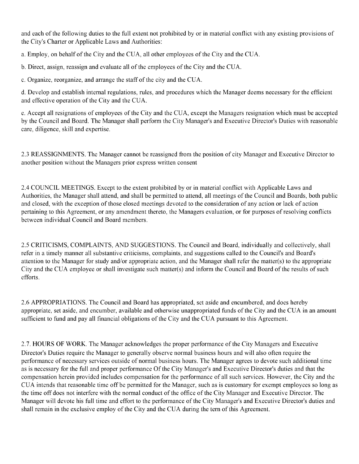and each of the following duties to the full extent not prohibited by or in material conflict with any existing provisions of the City's Charter or Applicable Laws and Authorities:

a. Employ, on behalf of the City and the CUA, all other employees of the City and the CUA.

b. Direct, assign, reassign and evaluate all of the employees of the City and the CUA.

c. Organize, reorganize, and arrange the staff of the city and the CUA.

d. Develop and establish internal regulations, rules, and procedures which the Manager deems necessary for the efficient and effective operation of the City and the CUA.

e. Accept all resignations of employees of the City and the CUA, except the Managers resignation which must be accepted by the Council and Board. The Manager shall perform the City Manager's and Executive Director's Duties with reasonable care, diligence, skill and expertise.

2. <sup>3</sup> REASSIGNMENTS. The Manager cannot be reassigned from the position of city Manager and Executive Director to another position without the Managers prior express written consent

2. 4 COUNCIL MEETINGS. Except to the extent prohibited by or in material conflict with Applicable Laws and Authorities, the Manager shall attend, and shall be permitted to attend, all meetings of the Council and Boards, both public and closed, with the exception of those closed meetings devoted to the consideration of any action or lack of action pertaining to this Agreement, or any amendment thereto, the Managers evaluation, or for purposes of resolving conflicts between individual Council and Board members.

2. <sup>5</sup> CRITICISMS, COMPLAINTS, AND SUGGESTIONS. The Council and Board, individually and collectively, shall refer in a timely manner all substantive criticisms, complaints, and suggestions called to the Council's and Board's attention to the Manager for study and/or appropriate action, and the Manager shall refer the matter(s) to the appropriate City and the CUA employee or shall investigate such matter(s) and inform the Council and Board of the results of such efforts.

2. 6 APPROPRIATIONS. The Council and Board has appropriated, set aside and encumbered, and does hereby appropriate, set aside, and encumber, available and otherwise unappropriated funds of the City and the CUA in an amount sufficient to fund and pay all financial obligations of the City and the CUA pursuant to this Agreement.

2. 7. HOURS OF WORK. The Manager acknowledges the proper performance of the City Managers and Executive Director's Duties require the Manager to generally observe normal business hours and will also often require the performance of necessary services outside of normal business hours. The Manager agrees to devote such additional time as is necessary for the full and proper performance Of the City Manager's and Executive Director's duties and that the compensation herein provided includes compensation for the performance of all such services. However, the City and the CUA intends that reasonable time off be permitted for the Manager, such as is customary for exempt employees so long as the time off does not interfere with the normal conduct of the office of the City Manager and Executive Director. The Manager will devote his full time and effort to the performance of the City Manager's and Executive Director's duties and shall remain in the exclusive employ of the City and the CUA during the tern of this Agreement.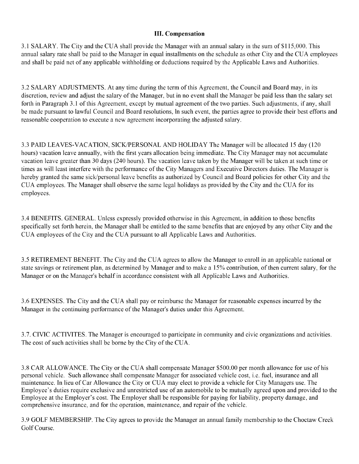#### III. Compensation

3. <sup>1</sup> SALARY. The City and the CUA shall provide the Manager with an annual salary in the sum of\$115, 000. This annual salary rate shall be paid to the Manager in equal installments on the schedule as other City and the CUA employees and shall be paid net of any applicable withholding or deductions required by the Applicable Laws and Authorities.

3.2 SALARY ADJUSTMENTS. At any time during the term of this Agreement, the Council and Board may, in its discretion, review and adjust the salary of the Manager, but in no event shall the Manager be paid less than the salary set forth in Paragraph 3. <sup>1</sup> of this Agreement, except by mutual agreement of the two parties. Such adjustments, if any, shall be made pursuant to lawful Council and Board resolutions, In such event, the parties agree to provide their best efforts and reasonable cooperation to execute a new agreement incorporating the adjusted salary.

3.3 PAID LEAVES-VACATION, SICK/PERSONAL AND HOLIDAY The Manager will be allocated 15 day (120 hours) vacation leave annually, with the first years allocation being immediate. The City Manager may not accumulate vacation leave greater than 30 days ( 240 hours). The vacation leave taken by the Manager will be taken at such time or times as will least interfere with the performance of the City Managers and Executive Directors duties. The Manager is hereby granted the same sick/personal leave benefits as authorized by Council and Board policies for other City and the CUA employees. The Manager shall observe the same legal holidays as provided by the City and the CUA for its employees.

3. 4 BENEFITS. GENERAL. Unless expressly provided otherwise in this Agreement, in addition to those benefits specifically set forth herein, the Manager shall be entitled to the same benefits that are enjoyed by any other City and the CUA employees of the City and the CUA pursuant to all Applicable Laws and Authorities.

3. <sup>5</sup> RETIREMENT BENEFIT. The City and the CUA agrees to allow the Manager to enroll in an applicable national or state savings or retirement plan, as determined by Manager and to make a 15% contribution, of then current salary, for the Manager or on the Manager's behalf in accordance consistent with all Applicable Laws and Authorities.

3. 6 EXPENSES. The City and the CUA shall pay or reimburse the Manager for reasonable expenses incurred by the Manager in the continuing performance of the Manager's duties under this Agreement.

3. 7. CIVIC ACTIVITES. The Manager is encouraged to participate in community and civic organizations and activities. The cost of such activities shall be borne by the City of the CUA.

3.8 CAR ALLOWANCE. The City or the CUA shall compensate Manager \$500.00 per month allowance for use of his personal vehicle. Such allowance shall compensate Manager for associated vehicle cost, i.e. fuel, insurance and all maintenance. In lieu of Car Allowance the City or CUA may elect to provide a vehicle for City Managers use. The Employee's duties require exclusive and unrestricted use of an automobile to be mutually agreed upon and provided to the Employee at the Employer's cost. The Employer shall be responsible for paying for liability, property damage, and comprehensive insurance, and for the operation, maintenance, and repair of the vehicle.

3. 9 GOLF MEMBERSHIP. The City agrees to provide the Manager an annual family membership to the Choctaw Creek Golf Course.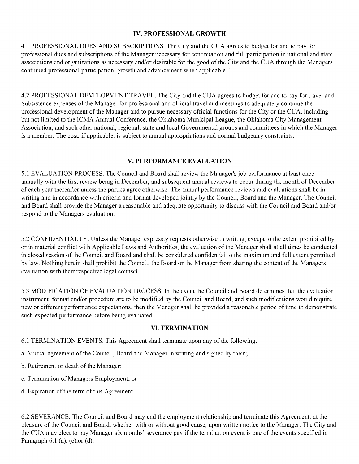#### IV. PROFESSIONAL GROWTH

4. <sup>1</sup> PROFESSIONAL DUES AND SUBSCRIPTIONS. The City and the CUA agrees to budget for and to pay for professional dues and subscriptions of the Manager necessary for continuation and full participation in national and state, associations and organizations as necessary and/or desirable for the good of the City and the CUA through the Managers continued professional participation, growth and advancement when applicable.

4. 2 PROFESSIONAL DEVELOPMENT TRAVEL. The City and the CUA agrees to budget for and to pay for travel and Subsistence expenses of the Manager for professional and official travel and meetings to adequately continue the professional development of the Manager and to pursue necessary official functions for the City or the CUA, including but not limited to the ICMA Annual Conference, the Oklahoma Municipal League, the Oklahoma City Management Association, and such other national, regional, state and local Governmental groups and committees in which the Manager is <sup>a</sup> member. The cost, if applicable, is subject to annual appropriations and normal budgetary constraints.

#### V. PERFORMANCE EVALUATION

5. <sup>1</sup> EVALUATION PROCESS. The Council and Board shall review the Manager's job performance at least once annually with the first review being in December, and subsequent annual reviews to occur during the month of December of each year thereafter unless the parties agree otherwise. The annual performance reviews and evaluations shall be in writing and in accordance with criteria and format developed jointly by the Council, Board and the Manager. The Council and Board shall provide the Manager a reasonable and adequate opportunity to discuss with the Council and Board and/or respond to the Managers evaluation.

5. 2 CONFIDENTIAUTY. Unless the Manager expressly requests otherwise in writing, except to the extent prohibited by or in material conflict with Applicable Laws and Authorities, the evaluation of the Manager shall at all times be conducted in closed session of the Council and Board and shall be considered confidential to the maximum and full extent permitted by law. Nothing herein shall prohibit the Council, the Board or the Manager from sharing the content of the Managers evaluation with their respective legal counsel.

5. <sup>3</sup> MODIFICATION OF EVALUATION PROCESS. In the event the Council and Board determines that the evaluation instrument, format and/or procedure are to be modified by the Council and Board, and such modifications would require new or different performance expectations, then the Manager shall be provided a reasonable period of time to demonstrate such expected performance before being evaluated.

#### VI. TERMINATION

- 6. <sup>1</sup> TERMINATION EVENTS. This Agreement shall terminate upon any ofthe following:
- a. Mutual agreement of the Council, Board and Manager in writing and signed by them;
- b. Retirement or death of the Manager;
- c. Termination of Managers Employment; or
- d. Expiration of the term of this Agreement.

6. 2 SEVERANCE. The Council and Board may end the employment relationship and terminate this Agreement, at the pleasure of the Council and Board, whether with or without good cause, upon written notice to the Manager. The City and the CUA may elect to pay Manager six months' severance pay if the termination event is one of the events specified in Paragraph  $6.1$  (a), (c), or (d).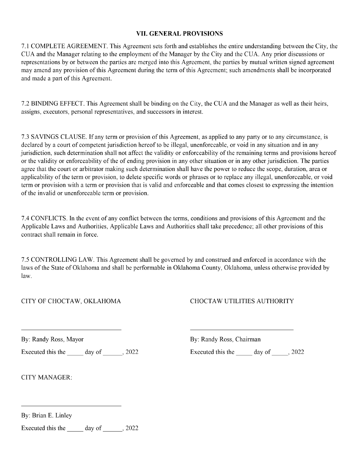#### VIL GENERAL PROVISIONS

7. <sup>1</sup> COMPLETE AGREEMENT. This Agreement sets forth and establishes the entire understanding between the City, the CUA and the Manager relating to the employment of the Manager by the City and the CUA. Any prior discussions or representations by or between the parties are merged into this Agreement, the parties by mutual written signed agreement may amend any provision of this Agreement during the term of this Agreement; such amendments shall be incorporated and made a part of this Agreement.

7. 2 BINDING EFFECT. This Agreement shall be binding on the City, the CUA and the Manager as well as their heirs, assigns, executors, personal representatives, and successors in interest.

7. <sup>3</sup> SAVINGS CLAUSE. If any term or provision ofthis Agreement, as applied to any party or to any circumstance, is declared by a court of competent jurisdiction hereof to be illegal, unenforceable, or void in any situation and in any jurisdiction, such determination shall not affect the validity or enforceability of the remaining terms and provisions hereof or the validity or enforceability of the of ending provision in any other situation or in any other jurisdiction. The parties agree that the court or arbitrator making such determination shall have the power to reduce the scope, duration, area or applicability of the term or provision, to delete specific words or phrases or to replace any illegal, unenforceable, or void term or provision with a term or provision that is valid and enforceable and that comes closest to expressing the intention of the invalid or unenforceable term or provision.

7. 4 CONFLICTS. In the event of any conflict between the terms, conditions and provisions ofthis Agreement and the Applicable Laws and Authorities, Applicable Laws and Authorities shall take precedence; all other provisions of this contract shall remain in force.

7. <sup>5</sup> CONTROLLING LAW. This Agreement shall be governed by and construed and enforced in accordance with the laws of the State of Oklahoma and shall be performable in Oklahoma County, Oklahoma, unless otherwise provided by law.

CITY OF CHOCTAW, OKLAHOMA CHOCTAW UTILITIES AUTHORITY

Executed this the day of 2022 Executed this the day of 2022

By: Randy Ross, Mayor By: Randy Ross, Chairman

CITY MANAGER:

By: Brian E. Linley

Executed this the  $\qquad \qquad$  day of  $\qquad \qquad$ , 2022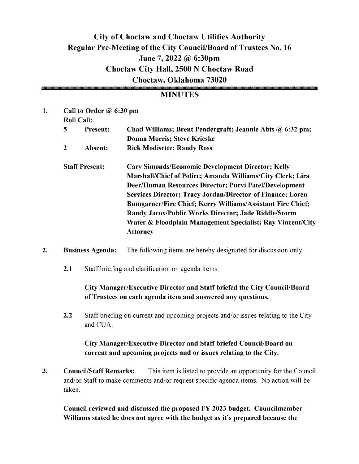## City of Choctaw and Choctaw Utilities Authority Regular Pre-Meeting of the City Council/Board of Trustees No. 16 June 7, 2022 @ 6:30pm Choctaw City Hall, 2500 N Choctaw Road Choctaw, Oklahoma 73020

#### **MINUTES**

| 1. |                       | Call to Order $\omega$ 6:30 pm |                                                                   |  |  |  |  |  |  |  |
|----|-----------------------|--------------------------------|-------------------------------------------------------------------|--|--|--|--|--|--|--|
|    |                       | <b>Roll Call:</b>              |                                                                   |  |  |  |  |  |  |  |
|    | 5                     | <b>Present:</b>                | Chad Williams; Brent Pendergraft; Jeannie Abts @ 6:32 pm;         |  |  |  |  |  |  |  |
|    |                       |                                | <b>Donna Morris; Steve Krieske</b>                                |  |  |  |  |  |  |  |
|    | $\mathbf{2}$          | Absent:                        | <b>Rick Modisette; Randy Ross</b>                                 |  |  |  |  |  |  |  |
|    | <b>Staff Present:</b> |                                | <b>Cary Simonds/Economic Development Director; Kelly</b>          |  |  |  |  |  |  |  |
|    |                       |                                | Marshall/Chief of Police; Amanda Williams/City Clerk; Lira        |  |  |  |  |  |  |  |
|    |                       |                                | Deer/Human Resources Director; Purvi Patel/Development            |  |  |  |  |  |  |  |
|    |                       |                                | <b>Services Director; Tracy Jordan/Director of Finance; Loren</b> |  |  |  |  |  |  |  |
|    |                       |                                | <b>Bumgarner/Fire Chief; Kerry Williams/Assistant Fire Chief;</b> |  |  |  |  |  |  |  |
|    |                       |                                | Randy Jacox/Public Works Director; Jade Riddle/Storm              |  |  |  |  |  |  |  |
|    |                       |                                | Water & Floodplain Management Specialist; Ray Vincent/City        |  |  |  |  |  |  |  |
|    |                       |                                | <b>Attorney</b>                                                   |  |  |  |  |  |  |  |
|    |                       |                                |                                                                   |  |  |  |  |  |  |  |

- 2. Business Agenda: The following items are hereby designated for discussion only.
	- 2.1 Staff briefing and clarification on agenda items.

#### City Manager/Executive Director and Staff briefed the City Council/Board of Trustees on each agenda item and answered any questions.

2.2 Staff briefing on current and upcoming projects and/or issues relating to the City and CUA.

#### City Manager/Executive Director and Staff briefed Council/Board on current and upcoming projects and or issues relating to the City.

3. Council/Staff Remarks: This item is listed to provide an opportunity for the Council and/or Staff to make comments and/or request specific agenda items. No action will be taken.

Council reviewed and discussed the proposed FY 2023 budget. Councilmember Williams stated he does not agree with the budget as it's prepared because the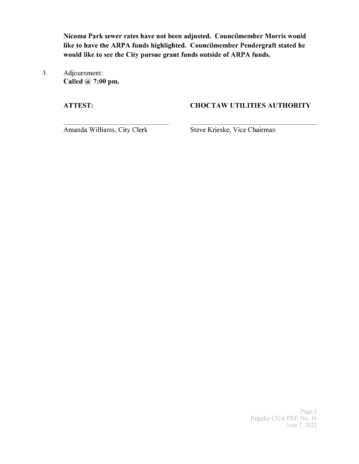Nicoma Park sewer rates have not been adjusted. Councilmember Morris would like to have the ARPA funds highlighted. Councilmember Pendergraft stated he would like to see the City pursue grant funds outside of ARPA funds.

3. Adjournment: Called  $\omega$  7:00 pm.

#### ATTEST: CHOCTAW UTILITIES AUTHORITY

Amanda Williams, City Clerk Steve Krieske, Vice Chairman

Page 2 Regular CUA PRE No. 16 June 7, 2022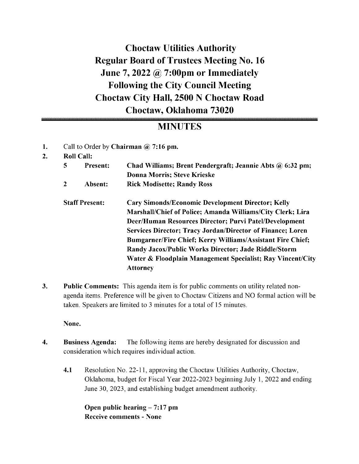## Choctaw Utilities Authority Regular Board of Trustees Meeting No. 16 June 7, 2022  $\omega$  7:00pm or Immediately Following the City Council Meeting Choctaw City Hall, 2500 N Choctaw Road Choctaw, Oklahoma 73020

## MINUTES

- 1. Call to Order by Chairman @ 7:16 pm.
- 2. Roll Call:

| 5 | <b>Present:</b>       | Chad Williams; Brent Pendergraft; Jeannie Abts @ 6:32 pm;<br>Donna Morris; Steve Krieske |
|---|-----------------------|------------------------------------------------------------------------------------------|
| 2 | Absent:               | <b>Rick Modisette; Randy Ross</b>                                                        |
|   | <b>Staff Present:</b> | <b>Cary Simonds/Economic Development Director; Kelly</b>                                 |
|   |                       | Marshall/Chief of Police; Amanda Williams/City Clerk; Lira                               |
|   |                       | Deer/Human Resources Director; Purvi Patel/Development                                   |
|   |                       | <b>Services Director; Tracy Jordan/Director of Finance; Loren</b>                        |
|   |                       | <b>Bumgarner/Fire Chief; Kerry Williams/Assistant Fire Chief;</b>                        |
|   |                       | Randy Jacox/Public Works Director; Jade Riddle/Storm                                     |
|   |                       | Water & Floodplain Management Specialist; Ray Vincent/City                               |
|   |                       | <b>Attorney</b>                                                                          |
|   |                       |                                                                                          |

3. Public Comments: This agenda item is for public comments on utility related nonagenda items. Preference will be given to Choctaw Citizens and NO formal action will be taken. Speakers are limited to <sup>3</sup> minutes for <sup>a</sup> total of 15 minutes.

None.

- 4. Business Agenda: The following items are hereby designated for discussion and consideration which requires individual action.
	- 4.1 Resolution No. 22-11, approving the Choctaw Utilities Authority, Choctaw, Oklahoma, budget for Fiscal Year 2022-2023 beginning July 1, 2022 and ending June 30, 2023, and establishing budget amendment authority.

Open public hearing  $- 7:17$  pm Receive comments - None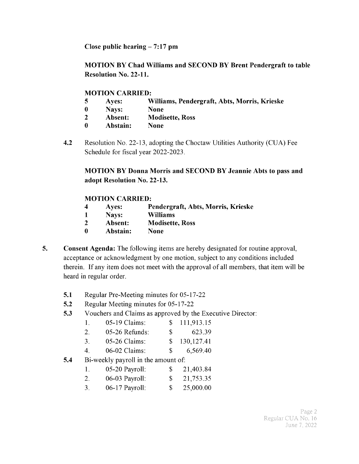Close public hearing  $- 7:17$  pm

MOTION BY Chad Williams and SECOND BY Brent Pendergraft to table Resolution No. 22-11.

#### MOTION CARRIED:

- <sup>5</sup> Ayes: Williams, Pendergraft, Abts, Morris, Krieske
- 0 Nays: None
- 2 Absent: Modisette, Ross
- <sup>0</sup> Abstain: None
- 4.2 Resolution No. 22-13, adopting the Choctaw Utilities Authority (CUA) Fee Schedule for fiscal year 2022-2023.

MOTION BY Donna Morris and SECOND BY Jeannie Abts to pass and adopt Resolution No. 22-13.

#### MOTION CARRIED:

- <sup>4</sup> Ayes: Pendergraft, Abts, Morris, Krieske
- <sup>1</sup> Nays: Williams
- 2 Absent: Modisette, Ross
- <sup>0</sup> Abstain: None
- 5. Consent Agenda: The following items are hereby designated for routine approval, acceptance or acknowledgment by one motion, subject to any conditions included therein. If any item does not meet with the approval of all members, that item will be heard in regular order.
	- 5.1 Regular Pre-Meeting minutes for 05-17-22
	- 5.2 Regular Meeting minutes for 05-17-22
	- 5.3 Vouchers and Claims as approved by the Executive Director:

| 05-19 Claims:<br>-1. |  | \$111,913.15 |
|----------------------|--|--------------|
|----------------------|--|--------------|

| 05-26 Refunds:<br><u>L.</u> |  | 623.39 |
|-----------------------------|--|--------|
|-----------------------------|--|--------|

- 3. 05-26 Claims: \$ 130, 127.41
- 4. 06-02 Claims: \$ 6,569.40
- 5.4 Bi-weekly payroll in the amount of:

| 05-20 Payroll: | 21,403.84 |
|----------------|-----------|
|                |           |

- 2. 06-03 Payroll: \$ 21,753.35
- 3. 06-17 Payroll: \$ 25,000.00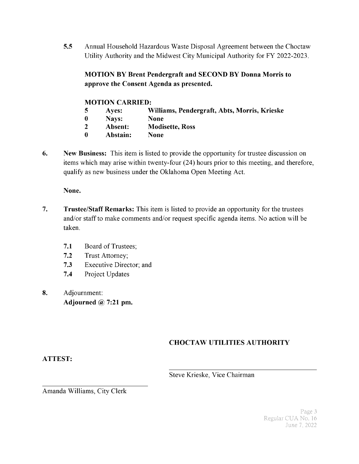5.5 Annual Household Hazardous Waste Disposal Agreement between the Choctaw Utility Authority and the Midwest City Municipal Authority for FY 2022-2023.

#### MOTION BY Brent Pendergraft and SECOND BY Donna Morris to approve the Consent Agenda as presented.

#### MOTION CARRIED:

- <sup>5</sup> Ayes: Williams, Pendergraft, Abts, Morris, Krieske
- 0 Nays: None
- 2 Absent: Modisette, Ross
- 0 Abstain: None
- 6. New Business: This item is listed to provide the opportunity for trustee discussion on items which may arise within twenty-four (24) hours prior to this meeting, and therefore, qualify as new business under the Oklahoma Open Meeting Act.

None.

- 7. Trustee/Staff Remarks: This item is listed to provide an opportunity for the trustees and/or staff to make comments and/or request specific agenda items. No action will be taken.
	- 7.1 Board of Trustees;
	- 7.2 Trust Attorney;
	- 7.3 Executive Director; and
	- 7.4 Project Updates
- 8. Adjournment: Adjourned  $@$  7:21 pm.

### CHOCTAW UTILITIES AUTHORITY

#### ATTEST:

Steve Krieske, Vice Chairman

Amanda Williams, City Clerk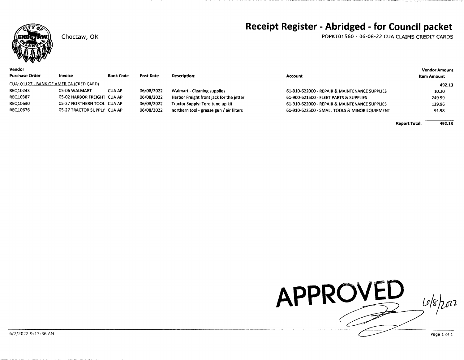

Choctaw, OK

#### Vendor

POPKT01560 - 06-08-22 CUA CLAIMS CREDIT CARDS

| <sup>o</sup> urchase Order               | <b>Invoice</b>              | <b>Bank Code</b> | <b>Post Date</b> | <b>Description:</b>                      | Account                                       | <b>Item Amount</b> |
|------------------------------------------|-----------------------------|------------------|------------------|------------------------------------------|-----------------------------------------------|--------------------|
| CUA: 01127 - BANK OF AMERICA (CRED CARD) |                             |                  |                  |                                          |                                               | 492.13             |
| REQ10243                                 | 05-06 WALMART               | <b>CUA AP</b>    | 06/08/2022       | <b>Walmart - Cleaning supplies</b>       | 61-910-622000 - REPAIR & MAINTENANCE SUPPLIES | 10.20              |
| <b>REQ10387</b>                          | 05-02 HARBOR FREIGHT CUA AP |                  | 06/08/2022       | Harbor Freight front jack for the jetter | 61-900-621500 - FLEET PARTS & SUPPLIES        | 249.99             |
| <b>REQ10630</b>                          | 05-27 NORTHERN TOOL CUA AP  |                  | 06/08/2022       | Tractor Supply: Toro tune up kit         | 61-910-622000 - REPAIR & MAINTENANCE SUPPLIES | 139.96             |
| REQ10676                                 | 05-27 TRACTOR SUPPLY CUA AP |                  | 06/08/2022       | northern tool - grease gun / air filters | 61-910-622500 - SMALL TOOLS & MINOR EQUIPMENT | 91.98              |
|                                          |                             |                  |                  |                                          |                                               |                    |

492.13 **Report Total:** 

**Vendor Amount** 

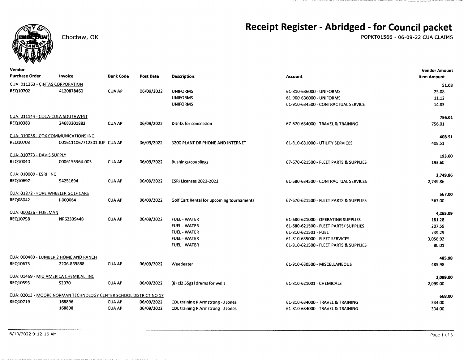

Choctaw, OK

## Receipt Register - Abridged - for Council packet

POPKT01566 - 06-09-22 CUA CLAIMS

| Vendor                            |                                                                   |               |                  |                                           |                                        | <b>Vendor Amount</b> |
|-----------------------------------|-------------------------------------------------------------------|---------------|------------------|-------------------------------------------|----------------------------------------|----------------------|
| <b>Purchase Order</b>             | Invoice                                                           | Bank Code     | <b>Post Date</b> | Description:                              | Account                                | <b>Item Amount</b>   |
| CUA: 011263 - CINTAS CORPORATION  |                                                                   |               |                  |                                           |                                        | 51.03                |
| REQ10702                          | 4120878460                                                        | <b>CUA AP</b> | 06/09/2022       | <b>UNIFORMS</b>                           | 61-810-636000 - UNIFORMS               | 25.08                |
|                                   |                                                                   |               |                  | <b>UNIFORMS</b>                           | 61-900-636000 - UNIFORMS               | 11.12                |
|                                   |                                                                   |               |                  | <b>UNIFORMS</b>                           | 61-910-634500 - CONTRACTUAL SERVICE    | 14.83                |
| CUA: 011144 - COCA-COLA SOUTHWEST |                                                                   |               |                  |                                           |                                        | 756.01               |
| REQ10383                          | 24683201883                                                       | <b>CUA AP</b> | 06/09/2022       | Drinks for concession                     | 67-670-634000 - TRAVEL & TRAINING      | 756.01               |
|                                   | CUA: 010038 - COX COMMUNICATIONS INC.                             |               |                  |                                           |                                        | 408.51               |
| REQ10703                          | 0016111067712301 JUI CUA AP                                       |               | 06/09/2022       | 3200 PLANT DR PHONE AND INTERNET          | 61-810-631000 - UTILITY SERVICES       | 408.51               |
| CUA: 010773 - DAVIS SUPPLY        |                                                                   |               |                  |                                           |                                        | 193.60               |
| REQ10040                          | 0006155364-003                                                    | <b>CUA AP</b> | 06/09/2022       | <b>Bushings/couplings</b>                 | 67-670-621500 - FLEET PARTS & SUPPLIES | 193.60               |
| CUA: 010000 - ESRI_INC            |                                                                   |               |                  |                                           |                                        | 2,749.86             |
| REQ10697                          | 94251694                                                          | <b>CUA AP</b> | 06/09/2022       | ESRI Licenses 2022-2023                   | 61-680-634500 - CONTRACTUAL SERVICES   | 2,749.86             |
|                                   | CUA: 01872 - FORE WHEELER GOLF CARS                               |               |                  |                                           |                                        | 567.00               |
| <b>REQ08042</b>                   | I-000064                                                          | <b>CUA AP</b> | 06/09/2022       | Golf Cart Rental for upcoming tournaments | 67-670-621500 - FLEET PARTS & SUPPLIES | 567.00               |
| <b>CUA: 000336 - FUELMAN</b>      |                                                                   |               |                  |                                           |                                        | 4,265.09             |
| REQ10758                          | NP62309448                                                        | <b>CUA AP</b> | 06/09/2022       | <b>FUEL - WATER</b>                       | 61-680-621000 - OPERATING SUPPLIES     | 181.28               |
|                                   |                                                                   |               |                  | <b>FUEL - WATER</b>                       | 61-680-621500 - FLEET PARTS/ SUPPLIES  | 207.59               |
|                                   |                                                                   |               |                  | <b>FUEL - WATER</b>                       | 61-810-621501 - FUEL                   | 739.29               |
|                                   |                                                                   |               |                  | <b>FUEL - WATER</b>                       | 61-810-635000 FLEET SERVICES           | 3,056.92             |
|                                   |                                                                   |               |                  | <b>FUEL - WATER</b>                       | 61-910-621500 - FLEET PARTS & SUPPLIES | 80.01                |
|                                   | <u> CUA: 000480 - LUMBER 2 HOME AND RANCH</u>                     |               |                  |                                           |                                        | 485.98               |
| <b>REQ10675</b>                   | 2206-869888                                                       | <b>CUA AP</b> | 06/09/2022       | Weedeater                                 | 61-910-630500 - MISCELLANEOUS          | 485.98               |
|                                   | CUA: 01469 - MID AMERICA CHEMICAL, INC                            |               |                  |                                           |                                        | 2,099.00             |
| REQ10593                          | <b>S2070</b>                                                      | <b>CUA AP</b> | 06/09/2022       | (8) cl2 55gal drums for wells             | 61-810-621001 - CHEMICALS              | 2,099.00             |
|                                   | CUA: 02013 - MOORE NORMAN TECHNOLOGY CENTER SCHOOL DISTRICT NO 17 |               |                  |                                           |                                        | 668.00               |
| REQ10719                          | 168896                                                            | <b>CUA AP</b> | 06/09/2022       | <b>CDL training R Armstrong - J Jones</b> | 61-810-634000 - TRAVEL & TRAINING      | 334.00               |
|                                   | 168898                                                            | <b>CUA AP</b> | 06/09/2022       | <b>CDL training R Armstrong - J Jones</b> | 61-810-634000 - TRAVEL & TRAINING      | 334.00               |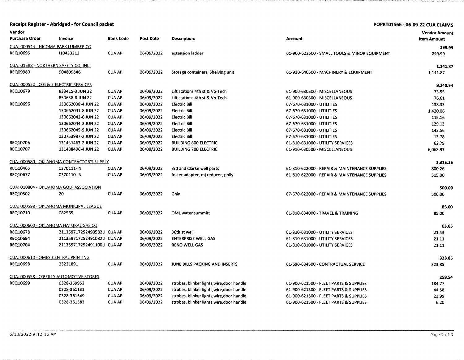|                                     | Receipt Register - Abridged - for Council packet   |                  |                  |                                            |                                               | POPKT01566 - 06-09-22 CUA CLAIMS |
|-------------------------------------|----------------------------------------------------|------------------|------------------|--------------------------------------------|-----------------------------------------------|----------------------------------|
| Vendor                              |                                                    |                  |                  |                                            |                                               | <b>Vendor Amount</b>             |
| <b>Purchase Order</b>               | Invoice                                            | <b>Bank Code</b> | <b>Post Date</b> | <b>Description:</b>                        | Account                                       | <b>Item Amount</b>               |
|                                     | CUA: 000544 - NICOMA PARK LUMBER CO                |                  |                  |                                            |                                               | 299.99                           |
| <b>REQ10695</b>                     | 110433312                                          | <b>CUA AP</b>    | 06/09/2022       | extension ladder                           | 61-900-622500 - SMALL TOOLS & MINOR EQUIPMENT | 299.99                           |
|                                     | <u> CUA: 01588 - NORTHERN SAFETY CO, INC.</u>      |                  |                  |                                            |                                               | 1,141.87                         |
| <b>REQ09980</b>                     | 904809846                                          | <b>CUA AP</b>    | 06/09/2022       | Storage containers, Shelving unit          | 61-910-640500 - MACHINERY & EQUIPMENT         | 1,141.87                         |
|                                     | <u>CUA: 000552 - O G &amp; E ELECTRIC SERVICES</u> |                  |                  |                                            |                                               | 8,240.94                         |
| REQ10679                            | 833415-3 JUN 22                                    | <b>CUA AP</b>    | 06/09/2022       | Lift stations 4th st & Vo-Tech             | 61-900-630500 - MISCELLANEOUS                 | 73.55                            |
|                                     | 850638-8 JUN 22                                    | <b>CUA AP</b>    | 06/09/2022       | Lift stations 4th st & Vo-Tech             | 61-900-630500 - MISCELLANEOUS                 | 76.61                            |
| <b>REQ10696</b>                     | 130662038-4 JUN 22                                 | <b>CUA AP</b>    | 06/09/2022       | <b>Electric Bill</b>                       | 67-670-631000 - UTILITIES                     | 138.33                           |
|                                     | 130662041-8 JUN 22                                 | <b>CUA AP</b>    | 06/09/2022       | <b>Electric Bill</b>                       | 67-670-631000 - UTILITIES                     | 1,420.06                         |
|                                     | 130662042-6 JUN 22                                 | CUA AP           | 06/09/2022       | <b>Electric Bill</b>                       | 67-670-631000 - UTILITIES                     | 115.16                           |
|                                     | 130662044-2 JUN 22                                 | <b>CUA AP</b>    | 06/09/2022       | <b>Electric Bill</b>                       | 67-670-631000 - UTILITIES                     | 129.13                           |
|                                     | 130662045-9 JUN 22                                 | <b>CUA AP</b>    | 06/09/2022       | <b>Electric Bill</b>                       | 67-670-631000 - UTILITIES                     | 142.56                           |
|                                     | 130753987-2 JUN 22                                 | <b>CUA AP</b>    | 06/09/2022       | <b>Electric Bill</b>                       | 67-670-631000 - UTILITIES                     | 13.78                            |
| <b>REQ10706</b>                     | 131431463-2 JUN 22                                 | <b>CUA AP</b>    | 06/09/2022       | <b>BUILDING 800 ELECTRIC</b>               | 61-810-631000 - UTILITY SERVICES              | 62.79                            |
| <b>REQ10707</b>                     | 131488496-4 JUN 22                                 | <b>CUA AP</b>    | 06/09/2022       | <b>BUILDING 700 ELECTRIC</b>               | 61-910-630500 - MISCELLANEOUS                 | 6,068.97                         |
|                                     | CUA: 000580 - OKLAHOMA CONTRACTOR'S SUPPLY         |                  |                  |                                            |                                               | 1,315.26                         |
| REQ10465                            | 0370111-IN                                         | <b>CUA AP</b>    | 06/09/2022       | 3rd and Clarke well parts                  | 61-810-622000 - REPAIR & MAINTENANCE SUPPLIES | 800.26                           |
| <b>REQ10677</b>                     | 0370110-IN                                         | <b>CUA AP</b>    | 06/09/2022       | foster adapter, mj reducer, polly          | 61-810-622000 - REPAIR & MAINTENANCE SUPPLIES | 515.00                           |
|                                     | CUA: 010804 - OKLAHOMA GOLF ASSOCIATION            |                  |                  |                                            |                                               | 500.00                           |
| REQ10502                            | 20                                                 | <b>CUA AP</b>    | 06/09/2022       | Ghin                                       | 67-670-622000 - REPAIR & MAINTENANCE SUPPLIES | 500.00                           |
|                                     | <u> CUA: 000598 - OKLAHOMA MUNICIPAL LEAGUE</u>    |                  |                  |                                            |                                               | 85.00                            |
| <b>REQ10710</b>                     | 082565                                             | <b>CUA AP</b>    | 06/09/2022       | <b>OML</b> water summitt                   | 61-810-634000 - TRAVEL & TRAINING             | 85.00                            |
|                                     | <u> CUA: 000600 - OKLAHOMA NATURAL GAS CO</u>      |                  |                  |                                            |                                               | 63.65                            |
| <b>REQ10678</b>                     | 211359717252490582 J CUA AP                        |                  | 06/09/2022       | 36th st well                               | 61-810-631000 - UTILITY SERVICES              | 21.43                            |
| <b>REQ10694</b>                     | 211359717252491082 J CUA AP                        |                  | 06/09/2022       | <b>ENTERPRISE WELL GAS</b>                 | 61-810-631000 - UTILITY SERVICES              | 21.11                            |
| <b>REQ10704</b>                     | 211359717252491100 J CUA AP                        |                  | 06/09/2022       | <b>RENO WELL GAS</b>                       | 61-810-631000 - UTILITY SERVICES              | 21.11                            |
| CUA: 000610 - OMES-CENTRAL PRINTING |                                                    |                  |                  |                                            |                                               | 323.85                           |
| <b>REQ10698</b>                     | 23221891                                           | <b>CUA AP</b>    | 06/09/2022       | JUNE BILLS PACKING AND INSERTS             | 61-690-634500 - CONTRACTUAL SERVICE           | 323.85                           |
|                                     | CUA: 000558 - O'REILLY AUTOMOTIVE STORES           |                  |                  |                                            |                                               | 258.54                           |
| REQ10699                            | 0328-359952                                        | <b>CUA AP</b>    | 06/09/2022       | strobes, blinker lights, wire, door handle | 61-900-621500 - FLEET PARTS & SUPPLIES        | 184.77                           |
|                                     | 0328-361131                                        | <b>CUA AP</b>    | 06/09/2022       | strobes, blinker lights, wire, door handle | 61-900-621500 - FLEET PARTS & SUPPLIES        | 44.58                            |
|                                     | 0328-361549                                        | <b>CUA AP</b>    | 06/09/2022       | strobes, blinker lights, wire, door handle | 61-900-621500 - FLEET PARTS & SUPPLIES        | 22.99                            |
|                                     | 0328-361583                                        | <b>CUA AP</b>    | 06/09/2022       | strobes, blinker lights, wire, door handle | 61-900-621500 - FLEET PARTS & SUPPLIES        | 6.20                             |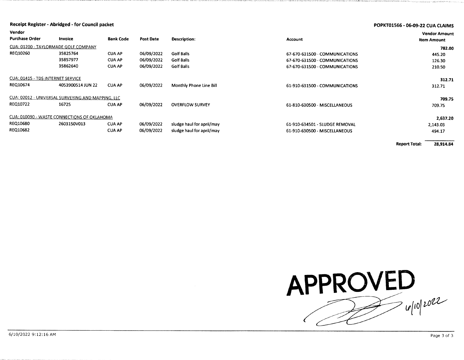| Receipt Register - Abridged - for Council packet<br>Vendor |                                                   |                  |                  |                           |                                | POPKT01566 - 06-09-22 CUA CLAIMS           |  |
|------------------------------------------------------------|---------------------------------------------------|------------------|------------------|---------------------------|--------------------------------|--------------------------------------------|--|
| <b>Purchase Order</b>                                      | Invoice                                           | <b>Bank Code</b> | <b>Post Date</b> | <b>Description:</b>       | <b>Account</b>                 | <b>Vendor Amount</b><br><b>Item Amount</b> |  |
| CUA: 01200 - TAYLORMADE GOLF COMPANY                       |                                                   |                  |                  |                           |                                | 782.00                                     |  |
| REQ10260                                                   | 35825764                                          | <b>CUA AP</b>    | 06/09/2022       | <b>Golf Balls</b>         | 67-670-631500 - COMMUNICATIONS | 445.20                                     |  |
|                                                            | 35857977                                          | <b>CUA AP</b>    | 06/09/2022       | <b>Golf Balls</b>         | 67-670-631500 - COMMUNICATIONS | 126.30                                     |  |
|                                                            | 35862640                                          | <b>CUA AP</b>    | 06/09/2022       | Golf Balls                | 67-670-631500 - COMMUNICATIONS | 210.50                                     |  |
| CUA: 01415 - TDS INTERNET SERVICE                          |                                                   |                  |                  |                           |                                | 312.71                                     |  |
| REQ10674                                                   | 4053900514 JUN 22                                 | <b>CUA AP</b>    | 06/09/2022       | Monthly Phone Line Bill   | 61-910-631500 - COMMUNICATIONS | 312.71                                     |  |
|                                                            | CUA: 02012 - UNIVERSAL SURVEYING AND MAPPING, LLC |                  |                  |                           |                                | 709.75                                     |  |
| REQ10722                                                   | 16725                                             | <b>CUA AP</b>    | 06/09/2022       | <b>OVERFLOW SURVEY</b>    | 61-810-630500 - MISCELLANEOUS  | 709.75                                     |  |
|                                                            | CUA: 010090 - WASTE CONNECTIONS OF OKLAHOMA       |                  |                  |                           |                                | 2,637.20                                   |  |
| REQ10680                                                   | 2603150V013                                       | <b>CUA AP</b>    | 06/09/2022       | sludge haul for april/may | 61-910-634501 - SLUDGE REMOVAL | 2,143.03                                   |  |
| REQ10682                                                   |                                                   | <b>CUA AP</b>    | 06/09/2022       | sludge haul for april/may | 61-910-630500 - MISCELLANEOUS  | 494.17                                     |  |

**Report Total:** 28,914.84

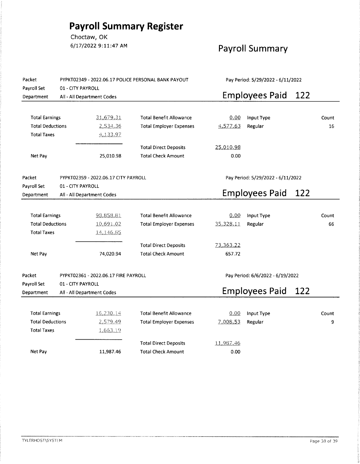# **Payroll Summary Register**

Choctaw, OK 6/17/2022 9:11:47 AM

## **Payroll Summary**

| Packet<br>Payroll Set                          | PYPKT02349 - 2022.06.17 POLICE PERSONAL BANK PAYOUT<br>Pay Period: 5/29/2022 - 6/11/2022<br>01 - CITY PAYROLL |                                      |                                |           |                                   |     |       |
|------------------------------------------------|---------------------------------------------------------------------------------------------------------------|--------------------------------------|--------------------------------|-----------|-----------------------------------|-----|-------|
| Department                                     |                                                                                                               | All - All Department Codes           |                                |           | <b>Employees Paid</b>             | 122 |       |
|                                                |                                                                                                               |                                      |                                |           |                                   |     |       |
| <b>Total Earnings</b>                          |                                                                                                               | 31,679.31                            | <b>Total Benefit Allowance</b> | 0.00      | Input Type                        |     | Count |
| <b>Total Deductions</b>                        |                                                                                                               | 2,534.36                             | <b>Total Employer Expenses</b> | 4,577.63  | Regular                           |     | 16    |
| <b>Total Taxes</b>                             |                                                                                                               | 4,133.97                             |                                |           |                                   |     |       |
|                                                |                                                                                                               |                                      | <b>Total Direct Deposits</b>   | 25,010.98 |                                   |     |       |
| Net Pay                                        |                                                                                                               | 25,010.98                            | <b>Total Check Amount</b>      | 0.00      |                                   |     |       |
|                                                |                                                                                                               |                                      |                                |           |                                   |     |       |
| Packet<br>PYPKT02359 - 2022.06.17 CITY PAYROLL |                                                                                                               |                                      |                                |           | Pay Period: 5/29/2022 - 6/11/2022 |     |       |
| Payroll Set                                    | 01 - CITY PAYROLL                                                                                             |                                      |                                |           |                                   |     |       |
| Department                                     | All - All Department Codes                                                                                    |                                      |                                |           | <b>Employees Paid</b>             | 122 |       |
|                                                |                                                                                                               |                                      |                                |           |                                   |     |       |
| <b>Total Earnings</b>                          |                                                                                                               | 98,858.81                            | <b>Total Benefit Allowance</b> | 0.00      | Input Type                        |     | Count |
| <b>Total Deductions</b>                        |                                                                                                               | 10,691.02                            | <b>Total Employer Expenses</b> | 35,328.11 | Regular                           |     | 66    |
| <b>Total Taxes</b>                             |                                                                                                               | 14, 146, 85                          |                                |           |                                   |     |       |
|                                                |                                                                                                               |                                      | <b>Total Direct Deposits</b>   | 73,363.22 |                                   |     |       |
| Net Pay                                        |                                                                                                               | 74,020.94                            | <b>Total Check Amount</b>      | 657.72    |                                   |     |       |
|                                                |                                                                                                               |                                      |                                |           |                                   |     |       |
| Packet                                         |                                                                                                               | PYPKT02361 - 2022.06.17 FIRE PAYROLL |                                |           | Pay Period: 6/6/2022 - 6/19/2022  |     |       |
| Payroll Set                                    | 01 - CITY PAYROLL                                                                                             |                                      |                                |           |                                   |     |       |
| Department                                     |                                                                                                               | All - All Department Codes           |                                |           | <b>Employees Paid</b>             | 122 |       |
|                                                |                                                                                                               |                                      |                                |           |                                   |     |       |
| <b>Total Earnings</b>                          |                                                                                                               | 16,230.14                            | <b>Total Benefit Allowance</b> | 0.00      | Input Type                        |     | Count |
| <b>Total Deductions</b>                        |                                                                                                               | 2,579.49                             | <b>Total Employer Expenses</b> | 7,008.53  | Regular                           |     | 9     |
| <b>Total Taxes</b>                             |                                                                                                               | 1,663.19                             |                                |           |                                   |     |       |
|                                                |                                                                                                               |                                      | <b>Total Direct Deposits</b>   | 11,987.46 |                                   |     |       |
| Net Pay                                        |                                                                                                               | 11,987.46                            | <b>Total Check Amount</b>      | 0.00      |                                   |     |       |
|                                                |                                                                                                               |                                      |                                |           |                                   |     |       |